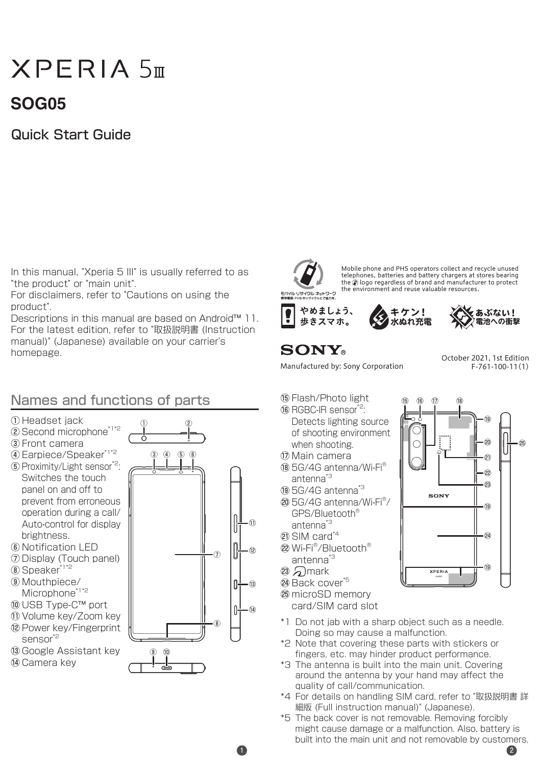# $X$ PFRIA  $5<sub>m</sub>$

## **05SOG**

### **Quick Start Guide**

In this manual, "Xperia 5 III" is usually referred to as "the product" or "main unit".

For disclaimers, refer to "Cautions on using the product".

Descriptions in this manual are based on Android<sup>™</sup> 11. For the latest edition, refer to "取扱説明書 (Instruction manual)" (Japanese) available on your carrier's homepage. The state of the state of the state of the state of the state of the state of the state of the state of the state of the state of the state of the state of the state of the state of the state of the state of the

#### Names and functions of parts

- ①Headset iack
- $(2)$  Second microphone<sup>\*1\*2</sup>
- 3 Front camera
- 4 Earpiece/Speaker\*<sup>1\*2</sup> (5) Proximity/Light sensor\*<sup>2</sup>: Switches the touch panel on and off to prevent from erroneous operation during a call/ Auto-control for display
- .brightness  $\circ$  Notification LED
- (7) Display (Touch panel)
- $(8)$  Speaker $^*$ <sup>1\*2</sup>
- /Mouthpiece⑨ Microphone\*1\*2
- <sup>10</sup> USB Type-C™ port
- (ii) Volume key/Zoom key
- (2) Power key/Fingerprint sensor<sup>\*2</sup>
- ® Google Assistant key
- (î4) Camera key





Mobile phone and PHS operators collect and recycle unused bearing strong state in the operators concert and recycle and social the @) logo regardless of brand and manufacturer to protect<br>the environment and reuse valuable resources.

18 16 15

17

SONY

モバイル・リサイクル・ネットワーク







(1) Manufactured by: Sony Corporation Eccessive Corporation

20

19

22  $\overline{\mathfrak{sl}}$ .<br>२<u>वे</u> 25

 $.64$ 

 $\overline{19}$ 

 $\widehat{19}$ 

- <sup>(6</sup>) Flash/Photo light
- 16 RGBC-IR sensor<sup>\*2</sup> Detects lighting source of shooting environment when shooting
- (i) Main camera
- $R$  5G/4G antenna/Wi-Fi $^{\circ}$ antenna<sup>\*3</sup>
- <sup>3</sup> 5G/4G antenna<sup>\*3</sup>
- $@$  5G/4G antenna/Wi-Fi $^{\circ}$ /  $GPS/R$ luetooth $^6$ antenna<sup>\*3</sup>
- 20 SIM card\*<sup>4</sup>
- 22 Wi-Fi<sup>®</sup>/Bluetooth<sup>®</sup> antenna<sup>\*3</sup>
- $(23)$   $\Box$  mark
- <sup>29</sup> Back cover<sup>\*5</sup>
- $@b>microSD$  memory card/SIM card slot
- \*1 Do not jab with a sharp object such as a needle. Doing so may cause a malfunction.
- \*2 Note that covering these parts with stickers or fingers, etc. may hinder product performance
- \*3 The antenna is built into the main unit. Covering around the antenna by your hand may affect the quality of call/communication.
- \*4 For details on handling SIM card, refer to "取扱説明書 詳 細版 (Full instruction manual)" (Japanese).
- \*5 The back cover is not removable. Removing forcibly might cause damage or a malfunction. Also, battery is built into the main unit and not removable by customers.